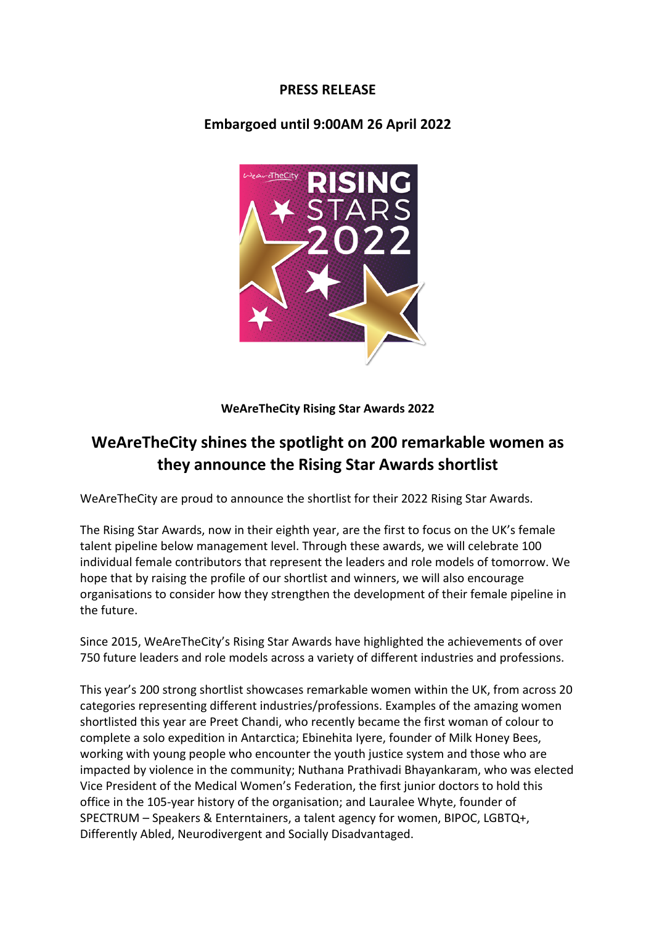# **PRESS RELEASE**

## **Embargoed until 9:00AM 26 April 2022**



**WeAreTheCity Rising Star Awards 2022**

# **WeAreTheCity shines the spotlight on 200 remarkable women as they announce the Rising Star Awards shortlist**

WeAreTheCity are proud to announce the shortlist for their 2022 Rising Star Awards.

The Rising Star Awards, now in their eighth year, are the first to focus on the UK's female talent pipeline below management level. Through these awards, we will celebrate 100 individual female contributors that represent the leaders and role models of tomorrow. We hope that by raising the profile of our shortlist and winners, we will also encourage organisations to consider how they strengthen the development of their female pipeline in the future.

Since 2015, WeAreTheCity's Rising Star Awards have highlighted the achievements of over 750 future leaders and role models across a variety of different industries and professions.

This year's 200 strong shortlist showcases remarkable women within the UK, from across 20 categories representing different industries/professions. Examples of the amazing women shortlisted this year are Preet Chandi, who recently became the first woman of colour to complete a solo expedition in Antarctica; Ebinehita Iyere, founder of Milk Honey Bees, working with young people who encounter the youth justice system and those who are impacted by violence in the community; Nuthana Prathivadi Bhayankaram, who was elected Vice President of the Medical Women's Federation, the first junior doctors to hold this office in the 105-year history of the organisation; and Lauralee Whyte, founder of SPECTRUM – Speakers & Enterntainers, a talent agency for women, BIPOC, LGBTQ+, Differently Abled, Neurodivergent and Socially Disadvantaged.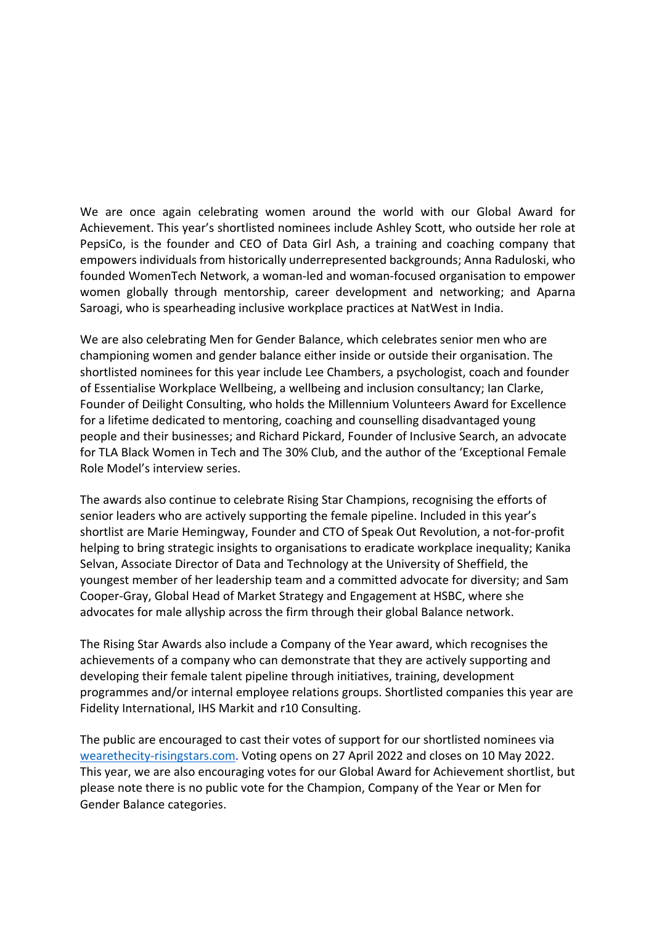We are once again celebrating women around the world with our Global Award for Achievement. This year's shortlisted nominees include Ashley Scott, who outside her role at PepsiCo, is the founder and CEO of Data Girl Ash, a training and coaching company that empowers individuals from historically underrepresented backgrounds; Anna Raduloski, who founded WomenTech Network, a woman-led and woman-focused organisation to empower women globally through mentorship, career development and networking; and Aparna Saroagi, who is spearheading inclusive workplace practices at NatWest in India.

We are also celebrating Men for Gender Balance, which celebrates senior men who are championing women and gender balance either inside or outside their organisation. The shortlisted nominees for this year include Lee Chambers, a psychologist, coach and founder of Essentialise Workplace Wellbeing, a wellbeing and inclusion consultancy; Ian Clarke, Founder of Deilight Consulting, who holds the Millennium Volunteers Award for Excellence for a lifetime dedicated to mentoring, coaching and counselling disadvantaged young people and their businesses; and Richard Pickard, Founder of Inclusive Search, an advocate for TLA Black Women in Tech and The 30% Club, and the author of the 'Exceptional Female Role Model's interview series.

The awards also continue to celebrate Rising Star Champions, recognising the efforts of senior leaders who are actively supporting the female pipeline. Included in this year's shortlist are Marie Hemingway, Founder and CTO of Speak Out Revolution, a not-for-profit helping to bring strategic insights to organisations to eradicate workplace inequality; Kanika Selvan, Associate Director of Data and Technology at the University of Sheffield, the youngest member of her leadership team and a committed advocate for diversity; and Sam Cooper-Gray, Global Head of Market Strategy and Engagement at HSBC, where she advocates for male allyship across the firm through their global Balance network.

The Rising Star Awards also include a Company of the Year award, which recognises the achievements of a company who can demonstrate that they are actively supporting and developing their female talent pipeline through initiatives, training, development programmes and/or internal employee relations groups. Shortlisted companies this year are Fidelity International, IHS Markit and r10 Consulting.

The public are encouraged to cast their votes of support for our shortlisted nominees via wearethecity-risingstars.com. Voting opens on 27 April 2022 and closes on 10 May 2022. This year, we are also encouraging votes for our Global Award for Achievement shortlist, but please note there is no public vote for the Champion, Company of the Year or Men for Gender Balance categories.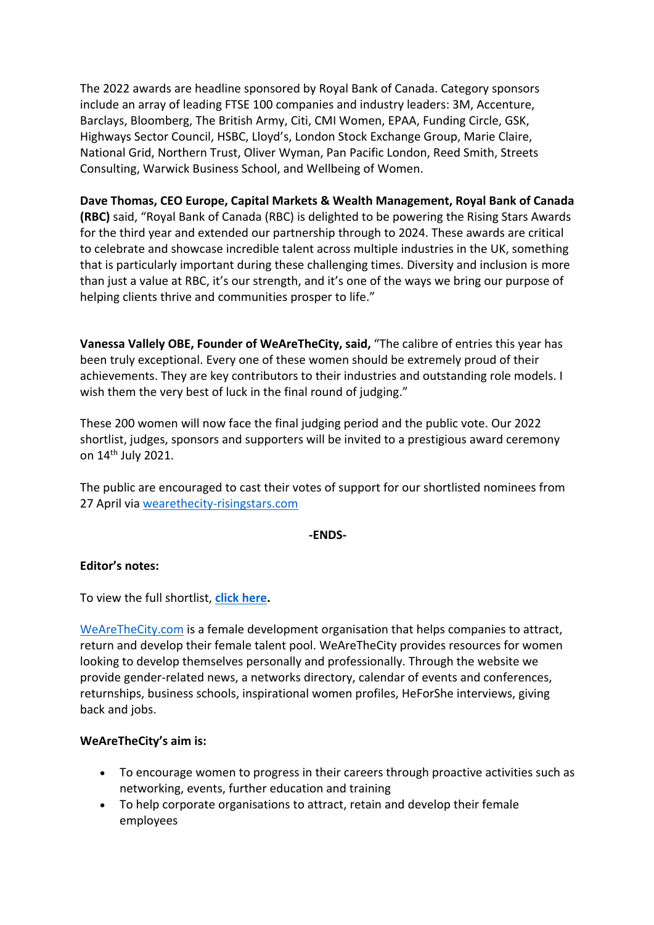The 2022 awards are headline sponsored by Royal Bank of Canada. Category sponsors include an array of leading FTSE 100 companies and industry leaders: 3M, Accenture, Barclays, Bloomberg, The British Army, Citi, CMI Women, EPAA, Funding Circle, GSK, Highways Sector Council, HSBC, Lloyd's, London Stock Exchange Group, Marie Claire, National Grid, Northern Trust, Oliver Wyman, Pan Pacific London, Reed Smith, Streets Consulting, Warwick Business School, and Wellbeing of Women.

## **Dave Thomas, CEO Europe, Capital Markets & Wealth Management, Royal Bank of Canada**

**(RBC)** said, "Royal Bank of Canada (RBC) is delighted to be powering the Rising Stars Awards for the third year and extended our partnership through to 2024. These awards are critical to celebrate and showcase incredible talent across multiple industries in the UK, something that is particularly important during these challenging times. Diversity and inclusion is more than just a value at RBC, it's our strength, and it's one of the ways we bring our purpose of helping clients thrive and communities prosper to life."

**Vanessa Vallely OBE, Founder of WeAreTheCity, said,** "The calibre of entries this year has been truly exceptional. Every one of these women should be extremely proud of their achievements. They are key contributors to their industries and outstanding role models. I wish them the very best of luck in the final round of judging."

These 200 women will now face the final judging period and the public vote. Our 2022 shortlist, judges, sponsors and supporters will be invited to a prestigious award ceremony on 14th July 2021.

The public are encouraged to cast their votes of support for our shortlisted nominees from 27 April via wearethecity-risingstars.com

#### **-ENDS-**

#### **Editor's notes:**

To view the full shortlist, **click here.**

WeAreTheCity.com is a female development organisation that helps companies to attract, return and develop their female talent pool. WeAreTheCity provides resources for women looking to develop themselves personally and professionally. Through the website we provide gender-related news, a networks directory, calendar of events and conferences, returnships, business schools, inspirational women profiles, HeForShe interviews, giving back and jobs.

#### **WeAreTheCity's aim is:**

- To encourage women to progress in their careers through proactive activities such as networking, events, further education and training
- To help corporate organisations to attract, retain and develop their female employees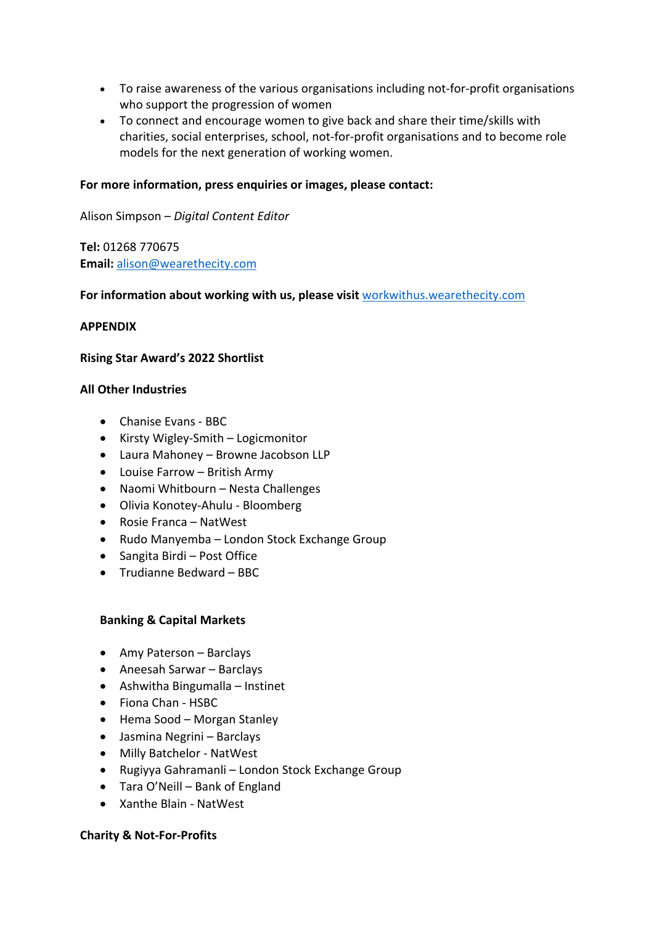- To raise awareness of the various organisations including not-for-profit organisations who support the progression of women
- To connect and encourage women to give back and share their time/skills with charities, social enterprises, school, not-for-profit organisations and to become role models for the next generation of working women.

#### **For more information, press enquiries or images, please contact:**

Alison Simpson – *Digital Content Editor* 

**Tel:** 01268 770675 **Email:** alison@wearethecity.com

#### For information about working with us, please visit workwithus.wearethecity.com

#### **APPENDIX**

#### **Rising Star Award's 2022 Shortlist**

#### **All Other Industries**

- Chanise Evans BBC
- Kirsty Wigley-Smith Logicmonitor
- Laura Mahoney Browne Jacobson LLP
- Louise Farrow British Army
- Naomi Whitbourn Nesta Challenges
- Olivia Konotey-Ahulu Bloomberg
- Rosie Franca NatWest
- Rudo Manyemba London Stock Exchange Group
- Sangita Birdi Post Office
- Trudianne Bedward BBC

#### **Banking & Capital Markets**

- Amy Paterson Barclays
- Aneesah Sarwar Barclays
- Ashwitha Bingumalla Instinet
- Fiona Chan HSBC
- Hema Sood Morgan Stanley
- Jasmina Negrini Barclays
- Milly Batchelor NatWest
- Rugiyya Gahramanli London Stock Exchange Group
- Tara O'Neill Bank of England
- Xanthe Blain NatWest

#### **Charity & Not-For-Profits**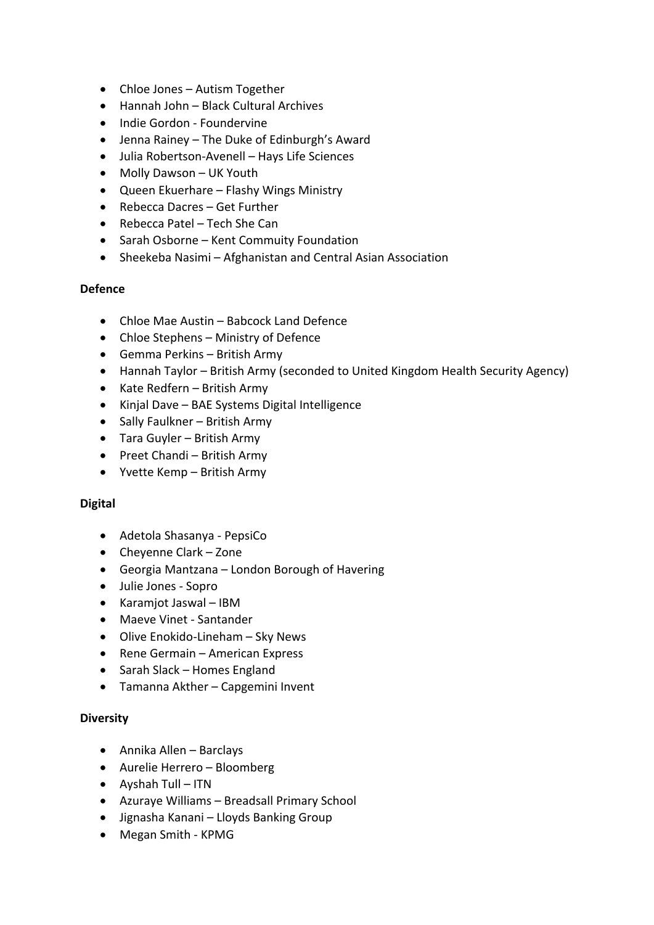- Chloe Jones Autism Together
- Hannah John Black Cultural Archives
- Indie Gordon Foundervine
- Jenna Rainey The Duke of Edinburgh's Award
- Julia Robertson-Avenell Hays Life Sciences
- Molly Dawson UK Youth
- Queen Ekuerhare Flashy Wings Ministry
- Rebecca Dacres Get Further
- Rebecca Patel Tech She Can
- Sarah Osborne Kent Commuity Foundation
- Sheekeba Nasimi Afghanistan and Central Asian Association

#### **Defence**

- Chloe Mae Austin Babcock Land Defence
- Chloe Stephens Ministry of Defence
- Gemma Perkins British Army
- Hannah Taylor British Army (seconded to United Kingdom Health Security Agency)
- Kate Redfern British Army
- Kinjal Dave BAE Systems Digital Intelligence
- Sally Faulkner British Army
- Tara Guyler British Army
- Preet Chandi British Army
- Yvette Kemp British Army

#### **Digital**

- Adetola Shasanya PepsiCo
- Cheyenne Clark Zone
- Georgia Mantzana London Borough of Havering
- Julie Jones Sopro
- Karamjot Jaswal IBM
- Maeve Vinet Santander
- Olive Enokido-Lineham Sky News
- Rene Germain American Express
- Sarah Slack Homes England
- Tamanna Akther Capgemini Invent

#### **Diversity**

- Annika Allen Barclays
- Aurelie Herrero Bloomberg
- Ayshah Tull ITN
- Azuraye Williams Breadsall Primary School
- Jignasha Kanani Lloyds Banking Group
- Megan Smith KPMG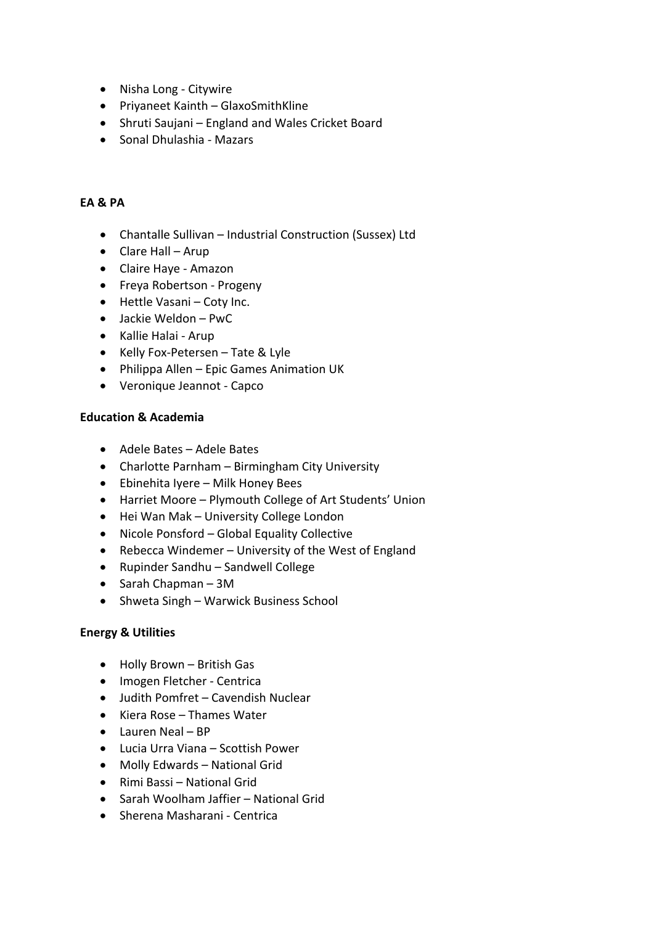- Nisha Long Citywire
- Priyaneet Kainth GlaxoSmithKline
- Shruti Saujani England and Wales Cricket Board
- Sonal Dhulashia Mazars

## **EA & PA**

- Chantalle Sullivan Industrial Construction (Sussex) Ltd
- Clare Hall Arup
- Claire Haye Amazon
- Freya Robertson Progeny
- Hettle Vasani Coty Inc.
- Jackie Weldon PwC
- Kallie Halai Arup
- Kelly Fox-Petersen Tate & Lyle
- Philippa Allen Epic Games Animation UK
- Veronique Jeannot Capco

#### **Education & Academia**

- Adele Bates Adele Bates
- Charlotte Parnham Birmingham City University
- Ebinehita Iyere Milk Honey Bees
- Harriet Moore Plymouth College of Art Students' Union
- Hei Wan Mak University College London
- Nicole Ponsford Global Equality Collective
- Rebecca Windemer University of the West of England
- Rupinder Sandhu Sandwell College
- Sarah Chapman 3M
- Shweta Singh Warwick Business School

#### **Energy & Utilities**

- Holly Brown British Gas
- Imogen Fletcher Centrica
- Judith Pomfret Cavendish Nuclear
- Kiera Rose Thames Water
- Lauren Neal BP
- Lucia Urra Viana Scottish Power
- Molly Edwards National Grid
- Rimi Bassi National Grid
- Sarah Woolham Jaffier National Grid
- Sherena Masharani Centrica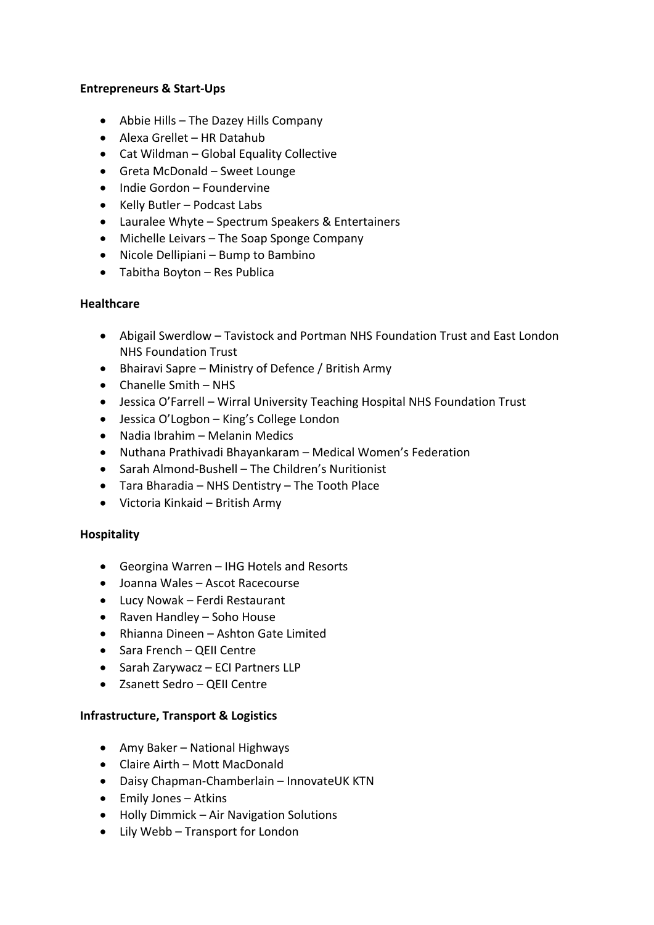### **Entrepreneurs & Start-Ups**

- Abbie Hills The Dazey Hills Company
- Alexa Grellet HR Datahub
- Cat Wildman Global Equality Collective
- Greta McDonald Sweet Lounge
- Indie Gordon Foundervine
- Kelly Butler Podcast Labs
- Lauralee Whyte Spectrum Speakers & Entertainers
- Michelle Leivars The Soap Sponge Company
- Nicole Dellipiani Bump to Bambino
- Tabitha Boyton Res Publica

### **Healthcare**

- Abigail Swerdlow Tavistock and Portman NHS Foundation Trust and East London NHS Foundation Trust
- Bhairavi Sapre Ministry of Defence / British Army
- Chanelle Smith NHS
- Jessica O'Farrell Wirral University Teaching Hospital NHS Foundation Trust
- Jessica O'Logbon King's College London
- Nadia Ibrahim Melanin Medics
- Nuthana Prathivadi Bhayankaram Medical Women's Federation
- Sarah Almond-Bushell The Children's Nuritionist
- Tara Bharadia NHS Dentistry The Tooth Place
- Victoria Kinkaid British Army

#### **Hospitality**

- Georgina Warren IHG Hotels and Resorts
- Joanna Wales Ascot Racecourse
- Lucy Nowak Ferdi Restaurant
- Raven Handley Soho House
- Rhianna Dineen Ashton Gate Limited
- Sara French QEII Centre
- Sarah Zarywacz ECI Partners LLP
- Zsanett Sedro QEII Centre

#### **Infrastructure, Transport & Logistics**

- Amy Baker National Highways
- Claire Airth Mott MacDonald
- Daisy Chapman-Chamberlain InnovateUK KTN
- Emily Jones Atkins
- Holly Dimmick Air Navigation Solutions
- Lily Webb Transport for London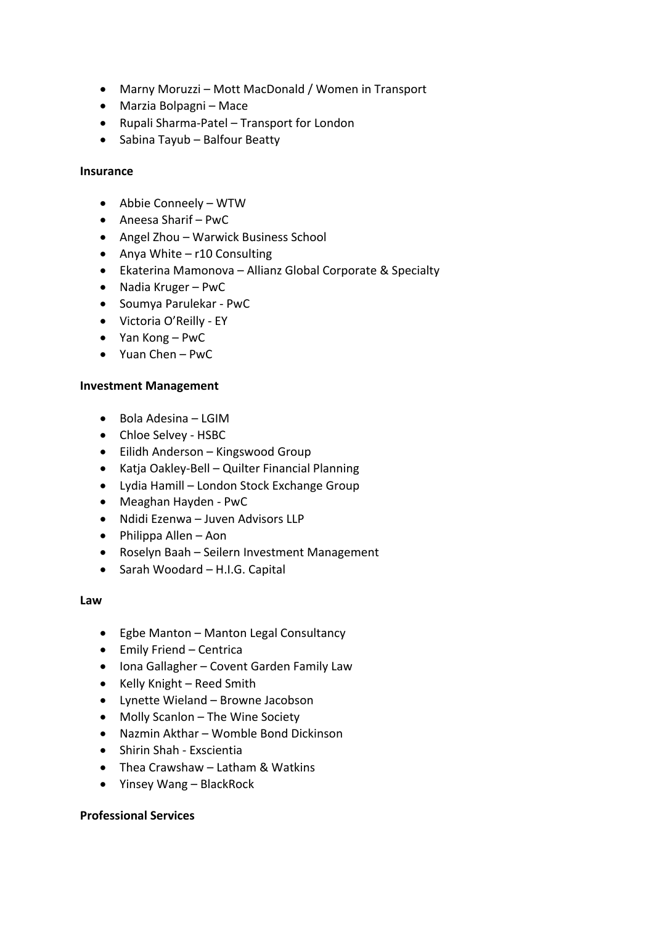- Marny Moruzzi Mott MacDonald / Women in Transport
- Marzia Bolpagni Mace
- Rupali Sharma-Patel Transport for London
- Sabina Tayub Balfour Beatty

### **Insurance**

- Abbie Conneely WTW
- Aneesa Sharif PwC
- Angel Zhou Warwick Business School
- Anya White r10 Consulting
- Ekaterina Mamonova Allianz Global Corporate & Specialty
- Nadia Kruger PwC
- Soumya Parulekar PwC
- Victoria O'Reilly EY
- Yan Kong PwC
- Yuan Chen PwC

### **Investment Management**

- Bola Adesina LGIM
- Chloe Selvey HSBC
- Eilidh Anderson Kingswood Group
- Katja Oakley-Bell Quilter Financial Planning
- Lydia Hamill London Stock Exchange Group
- Meaghan Hayden PwC
- Ndidi Ezenwa Juven Advisors LLP
- Philippa Allen Aon
- Roselyn Baah Seilern Investment Management
- Sarah Woodard H.I.G. Capital

#### **Law**

- Egbe Manton Manton Legal Consultancy
- Emily Friend Centrica
- Iona Gallagher Covent Garden Family Law
- Kelly Knight Reed Smith
- Lynette Wieland Browne Jacobson
- Molly Scanlon The Wine Society
- Nazmin Akthar Womble Bond Dickinson
- Shirin Shah Exscientia
- Thea Crawshaw Latham & Watkins
- Yinsey Wang BlackRock

## **Professional Services**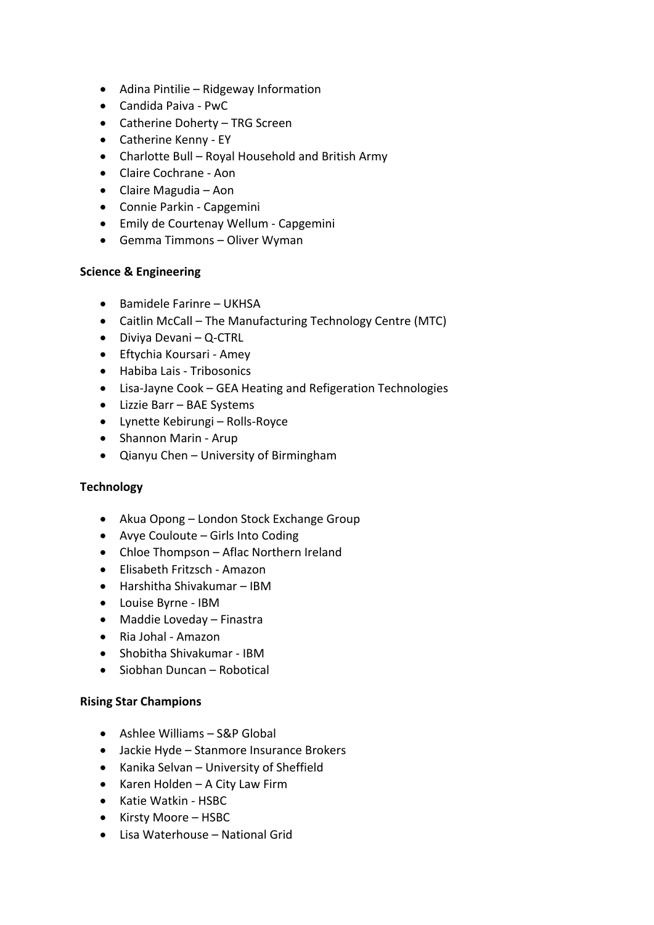- Adina Pintilie Ridgeway Information
- Candida Paiva PwC
- Catherine Doherty TRG Screen
- Catherine Kenny EY
- Charlotte Bull Royal Household and British Army
- Claire Cochrane Aon
- Claire Magudia Aon
- Connie Parkin Capgemini
- Emily de Courtenay Wellum Capgemini
- Gemma Timmons Oliver Wyman

### **Science & Engineering**

- Bamidele Farinre UKHSA
- Caitlin McCall The Manufacturing Technology Centre (MTC)
- Diviya Devani Q-CTRL
- Eftychia Koursari Amey
- Habiba Lais Tribosonics
- Lisa-Jayne Cook GEA Heating and Refigeration Technologies
- Lizzie Barr BAE Systems
- Lynette Kebirungi Rolls-Royce
- Shannon Marin Arup
- Qianyu Chen University of Birmingham

## **Technology**

- Akua Opong London Stock Exchange Group
- Avye Couloute Girls Into Coding
- Chloe Thompson Aflac Northern Ireland
- Elisabeth Fritzsch Amazon
- Harshitha Shivakumar IBM
- Louise Byrne IBM
- Maddie Loveday Finastra
- Ria Johal Amazon
- Shobitha Shivakumar IBM
- Siobhan Duncan Robotical

#### **Rising Star Champions**

- Ashlee Williams S&P Global
- Jackie Hyde Stanmore Insurance Brokers
- Kanika Selvan University of Sheffield
- Karen Holden A City Law Firm
- Katie Watkin HSBC
- Kirsty Moore HSBC
- Lisa Waterhouse National Grid